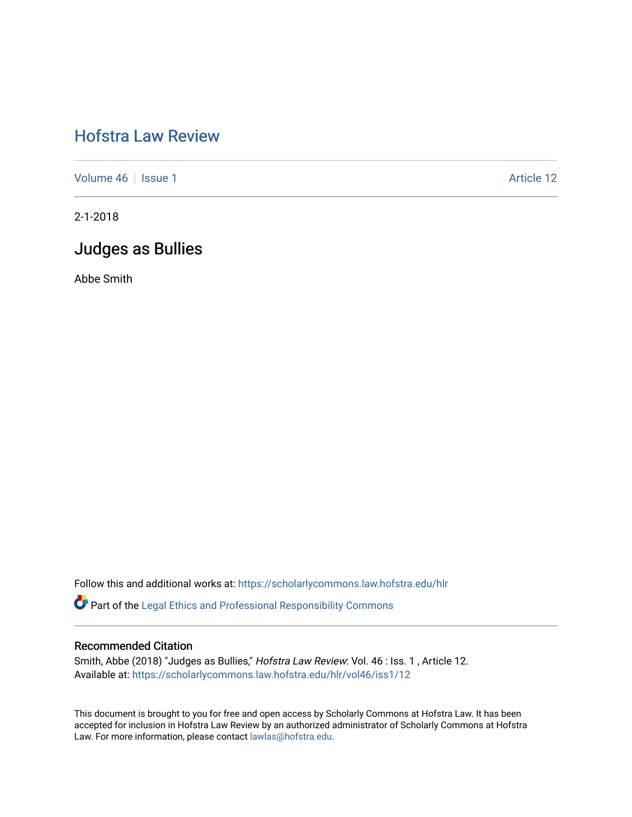# [Hofstra Law Review](https://scholarlycommons.law.hofstra.edu/hlr)

[Volume 46](https://scholarlycommons.law.hofstra.edu/hlr/vol46) | [Issue 1](https://scholarlycommons.law.hofstra.edu/hlr/vol46/iss1) Article 12

2-1-2018

## Judges as Bullies

Abbe Smith

Follow this and additional works at: [https://scholarlycommons.law.hofstra.edu/hlr](https://scholarlycommons.law.hofstra.edu/hlr?utm_source=scholarlycommons.law.hofstra.edu%2Fhlr%2Fvol46%2Fiss1%2F12&utm_medium=PDF&utm_campaign=PDFCoverPages)

Part of the [Legal Ethics and Professional Responsibility Commons](http://network.bepress.com/hgg/discipline/895?utm_source=scholarlycommons.law.hofstra.edu%2Fhlr%2Fvol46%2Fiss1%2F12&utm_medium=PDF&utm_campaign=PDFCoverPages)

## Recommended Citation

Smith, Abbe (2018) "Judges as Bullies," Hofstra Law Review: Vol. 46 : Iss. 1 , Article 12. Available at: [https://scholarlycommons.law.hofstra.edu/hlr/vol46/iss1/12](https://scholarlycommons.law.hofstra.edu/hlr/vol46/iss1/12?utm_source=scholarlycommons.law.hofstra.edu%2Fhlr%2Fvol46%2Fiss1%2F12&utm_medium=PDF&utm_campaign=PDFCoverPages) 

This document is brought to you for free and open access by Scholarly Commons at Hofstra Law. It has been accepted for inclusion in Hofstra Law Review by an authorized administrator of Scholarly Commons at Hofstra Law. For more information, please contact [lawlas@hofstra.edu.](mailto:lawlas@hofstra.edu)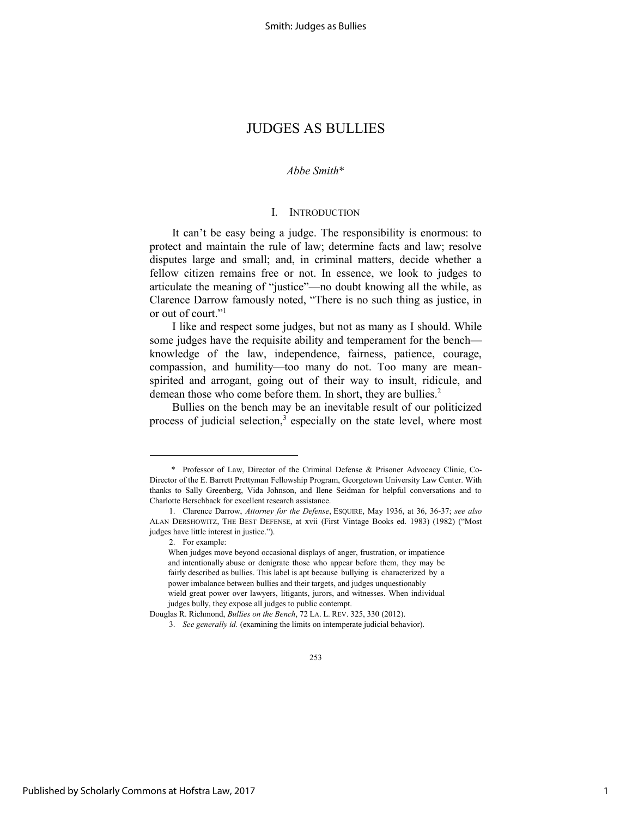Smith: Judges as Bullies

## JUDGES AS BULLIES

## *Abbe Smith*\*

### I. INTRODUCTION

It can't be easy being a judge. The responsibility is enormous: to protect and maintain the rule of law; determine facts and law; resolve disputes large and small; and, in criminal matters, decide whether a fellow citizen remains free or not. In essence, we look to judges to articulate the meaning of "justice"—no doubt knowing all the while, as Clarence Darrow famously noted, "There is no such thing as justice, in or out of court."<sup>1</sup>

I like and respect some judges, but not as many as I should. While some judges have the requisite ability and temperament for the bench knowledge of the law, independence, fairness, patience, courage, compassion, and humility—too many do not. Too many are meanspirited and arrogant, going out of their way to insult, ridicule, and demean those who come before them. In short, they are bullies.<sup>2</sup>

Bullies on the bench may be an inevitable result of our politicized process of judicial selection,<sup>3</sup> especially on the state level, where most

 <sup>\*</sup> Professor of Law, Director of the Criminal Defense & Prisoner Advocacy Clinic, Co-Director of the E. Barrett Prettyman Fellowship Program, Georgetown University Law Center. With thanks to Sally Greenberg, Vida Johnson, and Ilene Seidman for helpful conversations and to Charlotte Berschback for excellent research assistance.

<sup>1.</sup> Clarence Darrow, *Attorney for the Defense*, ESQUIRE, May 1936, at 36, 36-37; *see also*  ALAN DERSHOWITZ, THE BEST DEFENSE, at xvii (First Vintage Books ed. 1983) (1982) ("Most judges have little interest in justice.").

<sup>2.</sup> For example:

When judges move beyond occasional displays of anger, frustration, or impatience and intentionally abuse or denigrate those who appear before them, they may be fairly described as bullies. This label is apt because bullying is characterized by a power imbalance between bullies and their targets, and judges unquestionably wield great power over lawyers, litigants, jurors, and witnesses. When individual judges bully, they expose all judges to public contempt.

Douglas R. Richmond, *Bullies on the Bench*, 72 LA. L. REV. 325, 330 (2012).

<sup>3.</sup> *See generally id.* (examining the limits on intemperate judicial behavior).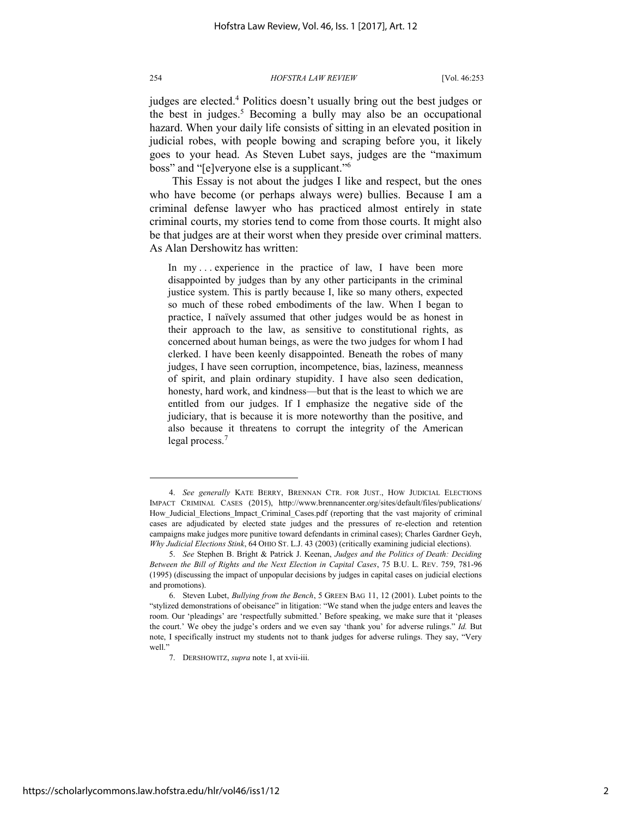judges are elected.<sup>4</sup> Politics doesn't usually bring out the best judges or the best in judges.<sup>5</sup> Becoming a bully may also be an occupational hazard. When your daily life consists of sitting in an elevated position in judicial robes, with people bowing and scraping before you, it likely goes to your head. As Steven Lubet says, judges are the "maximum boss" and "[e]veryone else is a supplicant."<sup>6</sup>

This Essay is not about the judges I like and respect, but the ones who have become (or perhaps always were) bullies. Because I am a criminal defense lawyer who has practiced almost entirely in state criminal courts, my stories tend to come from those courts. It might also be that judges are at their worst when they preside over criminal matters. As Alan Dershowitz has written:

In my ... experience in the practice of law, I have been more disappointed by judges than by any other participants in the criminal justice system. This is partly because I, like so many others, expected so much of these robed embodiments of the law. When I began to practice, I naïvely assumed that other judges would be as honest in their approach to the law, as sensitive to constitutional rights, as concerned about human beings, as were the two judges for whom I had clerked. I have been keenly disappointed. Beneath the robes of many judges, I have seen corruption, incompetence, bias, laziness, meanness of spirit, and plain ordinary stupidity. I have also seen dedication, honesty, hard work, and kindness—but that is the least to which we are entitled from our judges. If I emphasize the negative side of the judiciary, that is because it is more noteworthy than the positive, and also because it threatens to corrupt the integrity of the American legal process.<sup>7</sup>

<sup>4.</sup> *See generally* KATE BERRY, BRENNAN CTR. FOR JUST., HOW JUDICIAL ELECTIONS IMPACT CRIMINAL CASES (2015), http://www.brennancenter.org/sites/default/files/publications/ How\_Judicial\_Elections\_Impact\_Criminal\_Cases.pdf (reporting that the vast majority of criminal cases are adjudicated by elected state judges and the pressures of re-election and retention campaigns make judges more punitive toward defendants in criminal cases); Charles Gardner Geyh, *Why Judicial Elections Stink*, 64 OHIO ST. L.J. 43 (2003) (critically examining judicial elections).

<sup>5.</sup> *See* Stephen B. Bright & Patrick J. Keenan, *Judges and the Politics of Death: Deciding Between the Bill of Rights and the Next Election in Capital Cases*, 75 B.U. L. REV. 759, 781-96 (1995) (discussing the impact of unpopular decisions by judges in capital cases on judicial elections and promotions).

<sup>6.</sup> Steven Lubet, *Bullying from the Bench*, 5 GREEN BAG 11, 12 (2001). Lubet points to the "stylized demonstrations of obeisance" in litigation: "We stand when the judge enters and leaves the room. Our 'pleadings' are 'respectfully submitted.' Before speaking, we make sure that it 'pleases the court.' We obey the judge's orders and we even say 'thank you' for adverse rulings." *Id.* But note, I specifically instruct my students not to thank judges for adverse rulings. They say, "Very well."

<sup>7.</sup> DERSHOWITZ, *supra* note 1, at xvii-iii.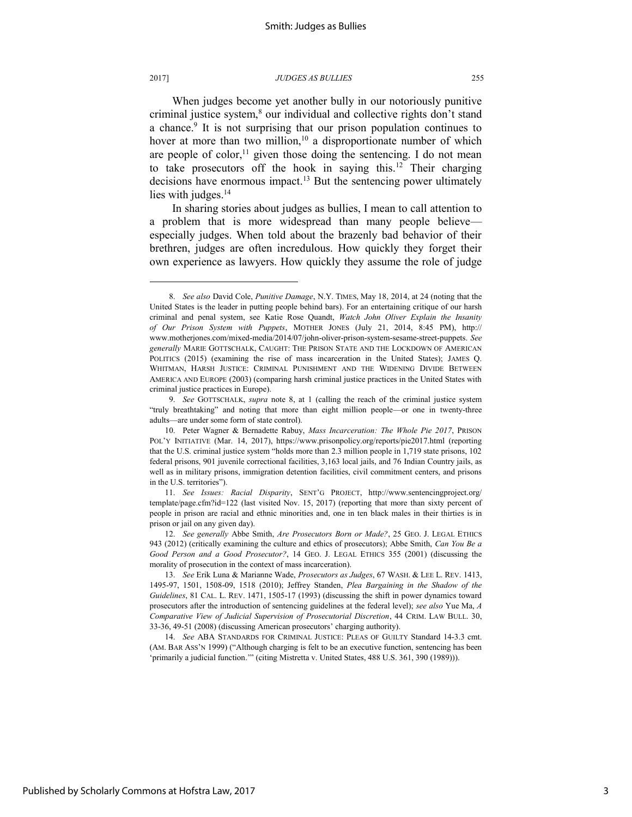l

#### 2017] *JUDGES AS BULLIES* 255

When judges become yet another bully in our notoriously punitive criminal justice system,<sup>8</sup> our individual and collective rights don't stand a chance.<sup>9</sup> It is not surprising that our prison population continues to hover at more than two million,<sup>10</sup> a disproportionate number of which are people of color,<sup>11</sup> given those doing the sentencing. I do not mean to take prosecutors off the hook in saying this.<sup>12</sup> Their charging decisions have enormous impact.<sup>13</sup> But the sentencing power ultimately lies with judges.<sup>14</sup>

In sharing stories about judges as bullies, I mean to call attention to a problem that is more widespread than many people believe especially judges. When told about the brazenly bad behavior of their brethren, judges are often incredulous. How quickly they forget their own experience as lawyers. How quickly they assume the role of judge

<sup>8.</sup> *See also* David Cole, *Punitive Damage*, N.Y. TIMES, May 18, 2014, at 24 (noting that the United States is the leader in putting people behind bars). For an entertaining critique of our harsh criminal and penal system, see Katie Rose Quandt, *Watch John Oliver Explain the Insanity of Our Prison System with Puppets*, MOTHER JONES (July 21, 2014, 8:45 PM), http:// www.motherjones.com/mixed-media/2014/07/john-oliver-prison-system-sesame-street-puppets. *See generally* MARIE GOTTSCHALK, CAUGHT: THE PRISON STATE AND THE LOCKDOWN OF AMERICAN POLITICS (2015) (examining the rise of mass incarceration in the United States); JAMES Q. WHITMAN, HARSH JUSTICE: CRIMINAL PUNISHMENT AND THE WIDENING DIVIDE BETWEEN AMERICA AND EUROPE (2003) (comparing harsh criminal justice practices in the United States with criminal justice practices in Europe).

<sup>9.</sup> *See* GOTTSCHALK, *supra* note 8, at 1 (calling the reach of the criminal justice system "truly breathtaking" and noting that more than eight million people—or one in twenty-three adults—are under some form of state control).

<sup>10.</sup> Peter Wagner & Bernadette Rabuy, *Mass Incarceration: The Whole Pie 2017*, PRISON POL'Y INITIATIVE (Mar. 14, 2017), https://www.prisonpolicy.org/reports/pie2017.html (reporting that the U.S. criminal justice system "holds more than 2.3 million people in 1,719 state prisons, 102 federal prisons, 901 juvenile correctional facilities, 3,163 local jails, and 76 Indian Country jails, as well as in military prisons, immigration detention facilities, civil commitment centers, and prisons in the U.S. territories").

<sup>11.</sup> *See Issues: Racial Disparity*, SENT'G PROJECT, http://www.sentencingproject.org/ template/page.cfm?id=122 (last visited Nov. 15, 2017) (reporting that more than sixty percent of people in prison are racial and ethnic minorities and, one in ten black males in their thirties is in prison or jail on any given day).

<sup>12.</sup> *See generally* Abbe Smith, *Are Prosecutors Born or Made?*, 25 GEO. J. LEGAL ETHICS 943 (2012) (critically examining the culture and ethics of prosecutors); Abbe Smith, *Can You Be a Good Person and a Good Prosecutor?*, 14 GEO. J. LEGAL ETHICS 355 (2001) (discussing the morality of prosecution in the context of mass incarceration).

<sup>13.</sup> *See* Erik Luna & Marianne Wade, *Prosecutors as Judges*, 67 WASH. & LEE L. REV. 1413, 1495-97, 1501, 1508-09, 1518 (2010); Jeffrey Standen, *Plea Bargaining in the Shadow of the Guidelines*, 81 CAL. L. REV. 1471, 1505-17 (1993) (discussing the shift in power dynamics toward prosecutors after the introduction of sentencing guidelines at the federal level); *see also* Yue Ma, *A Comparative View of Judicial Supervision of Prosecutorial Discretion*, 44 CRIM. LAW BULL. 30, 33-36, 49-51 (2008) (discussing American prosecutors' charging authority).

<sup>14.</sup> *See* ABA STANDARDS FOR CRIMINAL JUSTICE: PLEAS OF GUILTY Standard 14-3.3 cmt. (AM. BAR ASS'N 1999) ("Although charging is felt to be an executive function, sentencing has been 'primarily a judicial function.'" (citing Mistretta v. United States, 488 U.S. 361, 390 (1989))).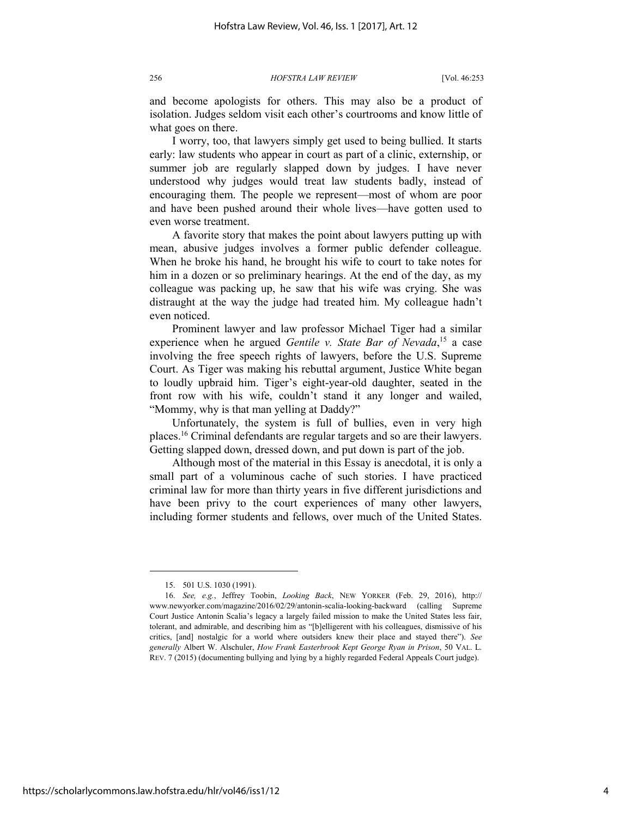and become apologists for others. This may also be a product of isolation. Judges seldom visit each other's courtrooms and know little of what goes on there.

I worry, too, that lawyers simply get used to being bullied. It starts early: law students who appear in court as part of a clinic, externship, or summer job are regularly slapped down by judges. I have never understood why judges would treat law students badly, instead of encouraging them. The people we represent—most of whom are poor and have been pushed around their whole lives—have gotten used to even worse treatment.

A favorite story that makes the point about lawyers putting up with mean, abusive judges involves a former public defender colleague. When he broke his hand, he brought his wife to court to take notes for him in a dozen or so preliminary hearings. At the end of the day, as my colleague was packing up, he saw that his wife was crying. She was distraught at the way the judge had treated him. My colleague hadn't even noticed.

Prominent lawyer and law professor Michael Tiger had a similar experience when he argued *Gentile v. State Bar of Nevada*,<sup>15</sup> a case involving the free speech rights of lawyers, before the U.S. Supreme Court. As Tiger was making his rebuttal argument, Justice White began to loudly upbraid him. Tiger's eight-year-old daughter, seated in the front row with his wife, couldn't stand it any longer and wailed, "Mommy, why is that man yelling at Daddy?"

Unfortunately, the system is full of bullies, even in very high places.<sup>16</sup> Criminal defendants are regular targets and so are their lawyers. Getting slapped down, dressed down, and put down is part of the job.

Although most of the material in this Essay is anecdotal, it is only a small part of a voluminous cache of such stories. I have practiced criminal law for more than thirty years in five different jurisdictions and have been privy to the court experiences of many other lawyers, including former students and fellows, over much of the United States.

<sup>15. 501</sup> U.S. 1030 (1991).

<sup>16.</sup> *See, e.g.*, Jeffrey Toobin, *Looking Back*, NEW YORKER (Feb. 29, 2016), http:// www.newyorker.com/magazine/2016/02/29/antonin-scalia-looking-backward (calling Supreme Court Justice Antonin Scalia's legacy a largely failed mission to make the United States less fair, tolerant, and admirable, and describing him as "[b]elligerent with his colleagues, dismissive of his critics, [and] nostalgic for a world where outsiders knew their place and stayed there"). *See generally* Albert W. Alschuler, *How Frank Easterbrook Kept George Ryan in Prison*, 50 VAL. L. REV. 7 (2015) (documenting bullying and lying by a highly regarded Federal Appeals Court judge).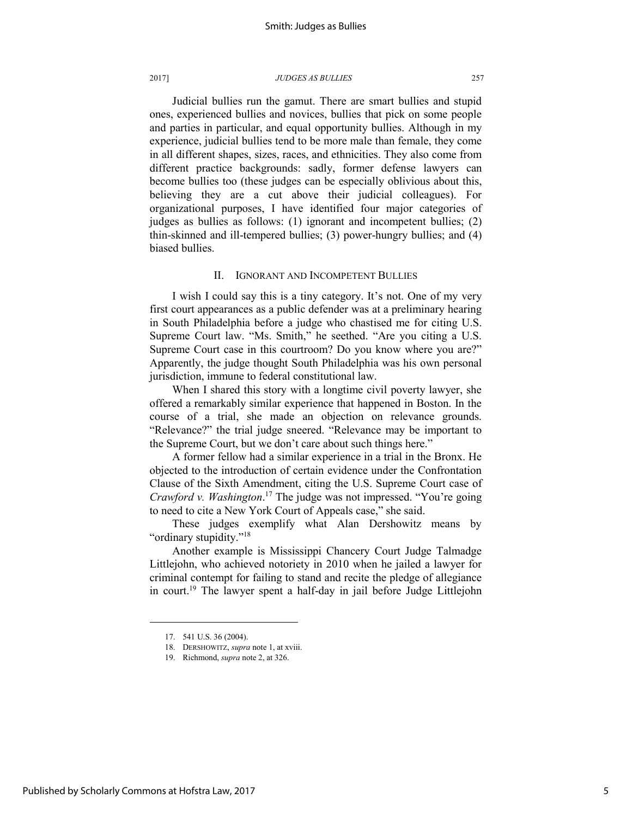Judicial bullies run the gamut. There are smart bullies and stupid ones, experienced bullies and novices, bullies that pick on some people and parties in particular, and equal opportunity bullies. Although in my experience, judicial bullies tend to be more male than female, they come in all different shapes, sizes, races, and ethnicities. They also come from different practice backgrounds: sadly, former defense lawyers can become bullies too (these judges can be especially oblivious about this, believing they are a cut above their judicial colleagues). For organizational purposes, I have identified four major categories of judges as bullies as follows: (1) ignorant and incompetent bullies; (2) thin-skinned and ill-tempered bullies; (3) power-hungry bullies; and (4) biased bullies.

### II. IGNORANT AND INCOMPETENT BULLIES

I wish I could say this is a tiny category. It's not. One of my very first court appearances as a public defender was at a preliminary hearing in South Philadelphia before a judge who chastised me for citing U.S. Supreme Court law. "Ms. Smith," he seethed. "Are you citing a U.S. Supreme Court case in this courtroom? Do you know where you are?" Apparently, the judge thought South Philadelphia was his own personal jurisdiction, immune to federal constitutional law.

When I shared this story with a longtime civil poverty lawyer, she offered a remarkably similar experience that happened in Boston. In the course of a trial, she made an objection on relevance grounds. "Relevance?" the trial judge sneered. "Relevance may be important to the Supreme Court, but we don't care about such things here."

A former fellow had a similar experience in a trial in the Bronx. He objected to the introduction of certain evidence under the Confrontation Clause of the Sixth Amendment, citing the U.S. Supreme Court case of *Crawford v. Washington*. <sup>17</sup> The judge was not impressed. "You're going to need to cite a New York Court of Appeals case," she said.

These judges exemplify what Alan Dershowitz means by "ordinary stupidity."<sup>18</sup>

Another example is Mississippi Chancery Court Judge Talmadge Littlejohn, who achieved notoriety in 2010 when he jailed a lawyer for criminal contempt for failing to stand and recite the pledge of allegiance in court.<sup>19</sup> The lawyer spent a half-day in jail before Judge Littlejohn

<sup>17. 541</sup> U.S. 36 (2004).

<sup>18.</sup> DERSHOWITZ, *supra* note 1, at xviii.

<sup>19.</sup> Richmond, *supra* note 2, at 326.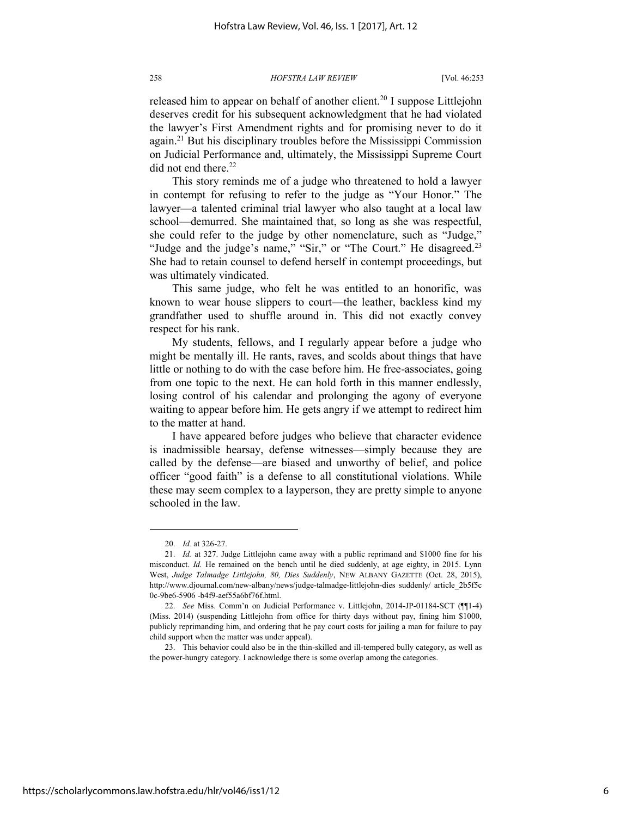released him to appear on behalf of another client.<sup>20</sup> I suppose Littlejohn deserves credit for his subsequent acknowledgment that he had violated the lawyer's First Amendment rights and for promising never to do it again.<sup>21</sup> But his disciplinary troubles before the Mississippi Commission on Judicial Performance and, ultimately, the Mississippi Supreme Court did not end there.<sup>22</sup>

This story reminds me of a judge who threatened to hold a lawyer in contempt for refusing to refer to the judge as "Your Honor." The lawyer—a talented criminal trial lawyer who also taught at a local law school—demurred. She maintained that, so long as she was respectful, she could refer to the judge by other nomenclature, such as "Judge," "Judge and the judge's name," "Sir," or "The Court." He disagreed.<sup>23</sup> She had to retain counsel to defend herself in contempt proceedings, but was ultimately vindicated.

This same judge, who felt he was entitled to an honorific, was known to wear house slippers to court—the leather, backless kind my grandfather used to shuffle around in. This did not exactly convey respect for his rank.

My students, fellows, and I regularly appear before a judge who might be mentally ill. He rants, raves, and scolds about things that have little or nothing to do with the case before him. He free-associates, going from one topic to the next. He can hold forth in this manner endlessly, losing control of his calendar and prolonging the agony of everyone waiting to appear before him. He gets angry if we attempt to redirect him to the matter at hand.

I have appeared before judges who believe that character evidence is inadmissible hearsay, defense witnesses—simply because they are called by the defense—are biased and unworthy of belief, and police officer "good faith" is a defense to all constitutional violations. While these may seem complex to a layperson, they are pretty simple to anyone schooled in the law.

<sup>20.</sup> *Id.* at 326-27.

<sup>21.</sup> *Id.* at 327. Judge Littlejohn came away with a public reprimand and \$1000 fine for his misconduct. *Id.* He remained on the bench until he died suddenly, at age eighty, in 2015. Lynn West, *Judge Talmadge Littlejohn, 80, Dies Suddenly*, NEW ALBANY GAZETTE (Oct. 28, 2015), http://www.djournal.com/new-albany/news/judge-talmadge-littlejohn-dies suddenly/ article\_2b5f5c 0c-9be6-5906 -b4f9-aef55a6bf76f.html.

<sup>22.</sup> *See* Miss. Comm'n on Judicial Performance v. Littlejohn, 2014-JP-01184-SCT (¶¶1-4) (Miss. 2014) (suspending Littlejohn from office for thirty days without pay, fining him \$1000, publicly reprimanding him, and ordering that he pay court costs for jailing a man for failure to pay child support when the matter was under appeal).

<sup>23.</sup> This behavior could also be in the thin-skilled and ill-tempered bully category, as well as the power-hungry category. I acknowledge there is some overlap among the categories.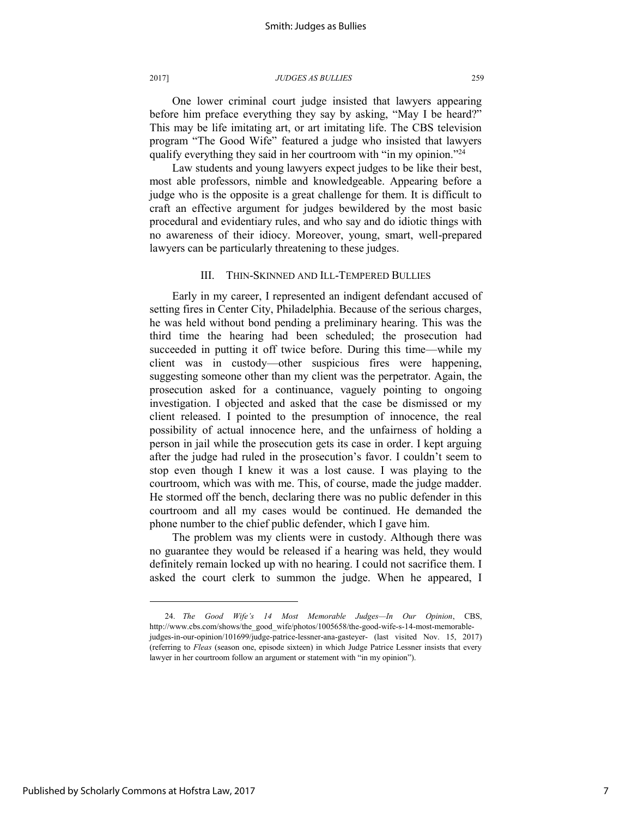One lower criminal court judge insisted that lawyers appearing before him preface everything they say by asking, "May I be heard?" This may be life imitating art, or art imitating life. The CBS television program "The Good Wife" featured a judge who insisted that lawyers qualify everything they said in her courtroom with "in my opinion."<sup>24</sup>

Law students and young lawyers expect judges to be like their best, most able professors, nimble and knowledgeable. Appearing before a judge who is the opposite is a great challenge for them. It is difficult to craft an effective argument for judges bewildered by the most basic procedural and evidentiary rules, and who say and do idiotic things with no awareness of their idiocy. Moreover, young, smart, well-prepared lawyers can be particularly threatening to these judges.

## III. THIN-SKINNED AND ILL-TEMPERED BULLIES

Early in my career, I represented an indigent defendant accused of setting fires in Center City, Philadelphia. Because of the serious charges, he was held without bond pending a preliminary hearing. This was the third time the hearing had been scheduled; the prosecution had succeeded in putting it off twice before. During this time—while my client was in custody—other suspicious fires were happening, suggesting someone other than my client was the perpetrator. Again, the prosecution asked for a continuance, vaguely pointing to ongoing investigation. I objected and asked that the case be dismissed or my client released. I pointed to the presumption of innocence, the real possibility of actual innocence here, and the unfairness of holding a person in jail while the prosecution gets its case in order. I kept arguing after the judge had ruled in the prosecution's favor. I couldn't seem to stop even though I knew it was a lost cause. I was playing to the courtroom, which was with me. This, of course, made the judge madder. He stormed off the bench, declaring there was no public defender in this courtroom and all my cases would be continued. He demanded the phone number to the chief public defender, which I gave him.

The problem was my clients were in custody. Although there was no guarantee they would be released if a hearing was held, they would definitely remain locked up with no hearing. I could not sacrifice them. I asked the court clerk to summon the judge. When he appeared, I

<sup>24.</sup> *The Good Wife's 14 Most Memorable Judges—In Our Opinion*, CBS, http://www.cbs.com/shows/the\_good\_wife/photos/1005658/the-good-wife-s-14-most-memorablejudges-in-our-opinion/101699/judge-patrice-lessner-ana-gasteyer- (last visited Nov. 15, 2017) (referring to *Fleas* (season one, episode sixteen) in which Judge Patrice Lessner insists that every lawyer in her courtroom follow an argument or statement with "in my opinion").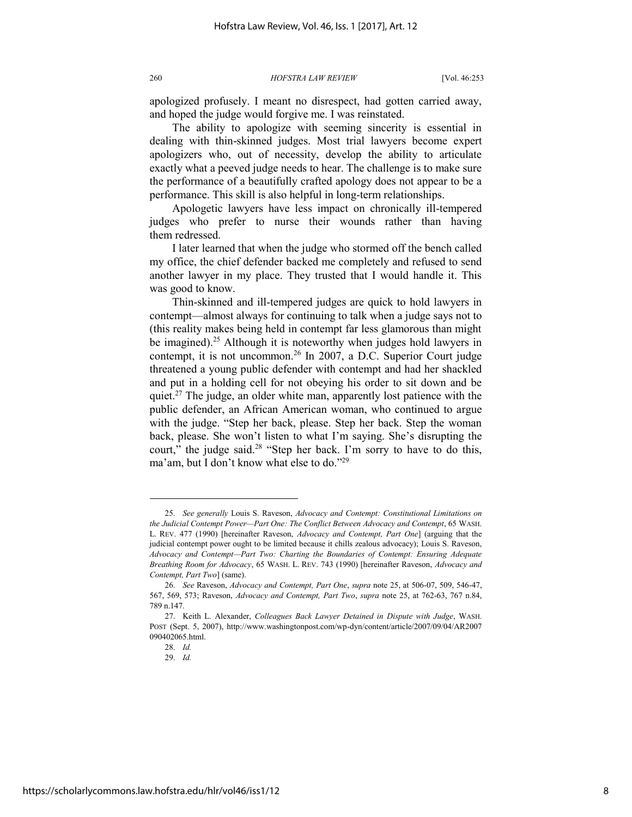apologized profusely. I meant no disrespect, had gotten carried away, and hoped the judge would forgive me. I was reinstated.

The ability to apologize with seeming sincerity is essential in dealing with thin-skinned judges. Most trial lawyers become expert apologizers who, out of necessity, develop the ability to articulate exactly what a peeved judge needs to hear. The challenge is to make sure the performance of a beautifully crafted apology does not appear to be a performance. This skill is also helpful in long-term relationships.

Apologetic lawyers have less impact on chronically ill-tempered judges who prefer to nurse their wounds rather than having them redressed.

I later learned that when the judge who stormed off the bench called my office, the chief defender backed me completely and refused to send another lawyer in my place. They trusted that I would handle it. This was good to know.

Thin-skinned and ill-tempered judges are quick to hold lawyers in contempt—almost always for continuing to talk when a judge says not to (this reality makes being held in contempt far less glamorous than might be imagined).<sup>25</sup> Although it is noteworthy when judges hold lawyers in contempt, it is not uncommon.<sup>26</sup> In 2007, a D.C. Superior Court judge threatened a young public defender with contempt and had her shackled and put in a holding cell for not obeying his order to sit down and be quiet.<sup>27</sup> The judge, an older white man, apparently lost patience with the public defender, an African American woman, who continued to argue with the judge. "Step her back, please. Step her back. Step the woman back, please. She won't listen to what I'm saying. She's disrupting the court," the judge said. $28$  "Step her back. I'm sorry to have to do this, ma'am, but I don't know what else to do."<sup>29</sup>

<sup>25.</sup> *See generally* Louis S. Raveson, *Advocacy and Contempt: Constitutional Limitations on the Judicial Contempt Power—Part One: The Conflict Between Advocacy and Contempt*, 65 WASH. L. REV. 477 (1990) [hereinafter Raveson, *Advocacy and Contempt, Part One*] (arguing that the judicial contempt power ought to be limited because it chills zealous advocacy); Louis S. Raveson, *Advocacy and Contempt—Part Two: Charting the Boundaries of Contempt: Ensuring Adequate Breathing Room for Advocacy*, 65 WASH. L. REV. 743 (1990) [hereinafter Raveson, *Advocacy and Contempt, Part Two*] (same).

<sup>26.</sup> *See* Raveson, *Advocacy and Contempt, Part One*, *supra* note 25, at 506-07, 509, 546-47, 567, 569, 573; Raveson, *Advocacy and Contempt, Part Two*, *supra* note 25, at 762-63, 767 n.84, 789 n.147.

<sup>27.</sup> Keith L. Alexander, *Colleagues Back Lawyer Detained in Dispute with Judge*, WASH. POST (Sept. 5, 2007), http://www.washingtonpost.com/wp-dyn/content/article/2007/09/04/AR2007 090402065.html.

<sup>28.</sup> *Id.* 

<sup>29.</sup> *Id.*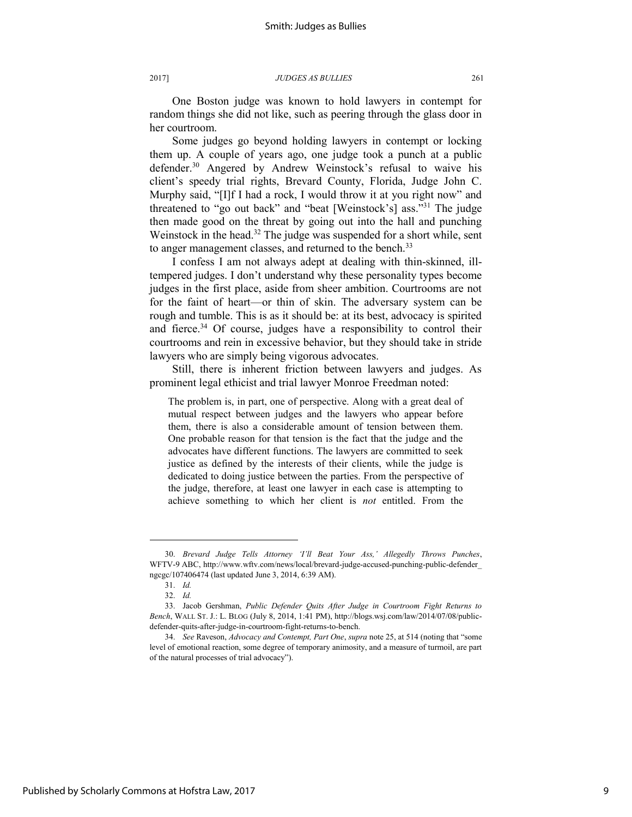One Boston judge was known to hold lawyers in contempt for random things she did not like, such as peering through the glass door in her courtroom.

Some judges go beyond holding lawyers in contempt or locking them up. A couple of years ago, one judge took a punch at a public defender.<sup>30</sup> Angered by Andrew Weinstock's refusal to waive his client's speedy trial rights, Brevard County, Florida, Judge John C. Murphy said, "[I]f I had a rock, I would throw it at you right now" and threatened to "go out back" and "beat [Weinstock's] ass."<sup>31</sup> The judge then made good on the threat by going out into the hall and punching Weinstock in the head.<sup>32</sup> The judge was suspended for a short while, sent to anger management classes, and returned to the bench.<sup>33</sup>

I confess I am not always adept at dealing with thin-skinned, illtempered judges. I don't understand why these personality types become judges in the first place, aside from sheer ambition. Courtrooms are not for the faint of heart—or thin of skin. The adversary system can be rough and tumble. This is as it should be: at its best, advocacy is spirited and fierce.<sup>34</sup> Of course, judges have a responsibility to control their courtrooms and rein in excessive behavior, but they should take in stride lawyers who are simply being vigorous advocates.

Still, there is inherent friction between lawyers and judges. As prominent legal ethicist and trial lawyer Monroe Freedman noted:

The problem is, in part, one of perspective. Along with a great deal of mutual respect between judges and the lawyers who appear before them, there is also a considerable amount of tension between them. One probable reason for that tension is the fact that the judge and the advocates have different functions. The lawyers are committed to seek justice as defined by the interests of their clients, while the judge is dedicated to doing justice between the parties. From the perspective of the judge, therefore, at least one lawyer in each case is attempting to achieve something to which her client is *not* entitled. From the

<sup>30.</sup> *Brevard Judge Tells Attorney 'I'll Beat Your Ass,' Allegedly Throws Punches*, WFTV-9 ABC, http://www.wftv.com/news/local/brevard-judge-accused-punching-public-defender\_ ngcgc/107406474 (last updated June 3, 2014, 6:39 AM).

<sup>31.</sup> *Id.*

<sup>32.</sup> *Id.*

<sup>33.</sup> Jacob Gershman, *Public Defender Quits After Judge in Courtroom Fight Returns to Bench*, WALL ST. J.: L. BLOG (July 8, 2014, 1:41 PM), http://blogs.wsj.com/law/2014/07/08/publicdefender-quits-after-judge-in-courtroom-fight-returns-to-bench.

<sup>34.</sup> *See* Raveson, *Advocacy and Contempt, Part One*, *supra* note 25, at 514 (noting that "some level of emotional reaction, some degree of temporary animosity, and a measure of turmoil, are part of the natural processes of trial advocacy").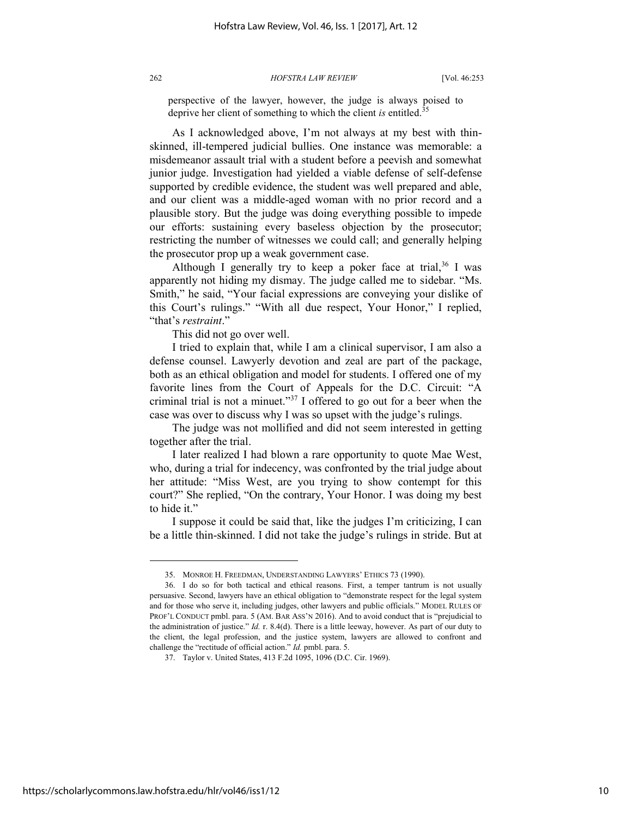perspective of the lawyer, however, the judge is always poised to deprive her client of something to which the client *is* entitled.<sup>35</sup>

As I acknowledged above, I'm not always at my best with thinskinned, ill-tempered judicial bullies. One instance was memorable: a misdemeanor assault trial with a student before a peevish and somewhat junior judge. Investigation had yielded a viable defense of self-defense supported by credible evidence, the student was well prepared and able, and our client was a middle-aged woman with no prior record and a plausible story. But the judge was doing everything possible to impede our efforts: sustaining every baseless objection by the prosecutor; restricting the number of witnesses we could call; and generally helping the prosecutor prop up a weak government case.

Although I generally try to keep a poker face at trial, $36$  I was apparently not hiding my dismay. The judge called me to sidebar. "Ms. Smith," he said, "Your facial expressions are conveying your dislike of this Court's rulings." "With all due respect, Your Honor," I replied, "that's *restraint*."

This did not go over well.

I tried to explain that, while I am a clinical supervisor, I am also a defense counsel. Lawyerly devotion and zeal are part of the package, both as an ethical obligation and model for students. I offered one of my favorite lines from the Court of Appeals for the D.C. Circuit: "A criminal trial is not a minuet."<sup>37</sup> I offered to go out for a beer when the case was over to discuss why I was so upset with the judge's rulings.

The judge was not mollified and did not seem interested in getting together after the trial.

I later realized I had blown a rare opportunity to quote Mae West, who, during a trial for indecency, was confronted by the trial judge about her attitude: "Miss West, are you trying to show contempt for this court?" She replied, "On the contrary, Your Honor. I was doing my best to hide it."

I suppose it could be said that, like the judges I'm criticizing, I can be a little thin-skinned. I did not take the judge's rulings in stride. But at

<sup>35.</sup> MONROE H. FREEDMAN, UNDERSTANDING LAWYERS' ETHICS 73 (1990).

<sup>36.</sup> I do so for both tactical and ethical reasons. First, a temper tantrum is not usually persuasive. Second, lawyers have an ethical obligation to "demonstrate respect for the legal system and for those who serve it, including judges, other lawyers and public officials." MODEL RULES OF PROF'L CONDUCT pmbl. para. 5 (AM. BAR ASS'N 2016). And to avoid conduct that is "prejudicial to the administration of justice." *Id.* r. 8.4(d). There is a little leeway, however. As part of our duty to the client, the legal profession, and the justice system, lawyers are allowed to confront and challenge the "rectitude of official action." *Id.* pmbl. para. 5.

<sup>37.</sup> Taylor v. United States, 413 F.2d 1095, 1096 (D.C. Cir. 1969).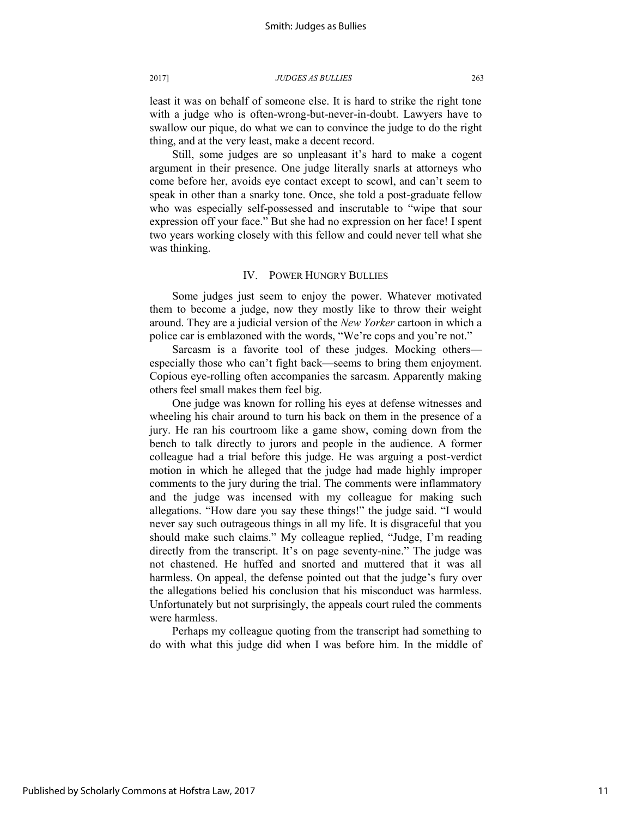least it was on behalf of someone else. It is hard to strike the right tone with a judge who is often-wrong-but-never-in-doubt. Lawyers have to swallow our pique, do what we can to convince the judge to do the right thing, and at the very least, make a decent record.

Still, some judges are so unpleasant it's hard to make a cogent argument in their presence. One judge literally snarls at attorneys who come before her, avoids eye contact except to scowl, and can't seem to speak in other than a snarky tone. Once, she told a post-graduate fellow who was especially self-possessed and inscrutable to "wipe that sour expression off your face." But she had no expression on her face! I spent two years working closely with this fellow and could never tell what she was thinking.

## IV. POWER HUNGRY BULLIES

Some judges just seem to enjoy the power. Whatever motivated them to become a judge, now they mostly like to throw their weight around. They are a judicial version of the *New Yorker* cartoon in which a police car is emblazoned with the words, "We're cops and you're not."

Sarcasm is a favorite tool of these judges. Mocking others especially those who can't fight back—seems to bring them enjoyment. Copious eye-rolling often accompanies the sarcasm. Apparently making others feel small makes them feel big.

One judge was known for rolling his eyes at defense witnesses and wheeling his chair around to turn his back on them in the presence of a jury. He ran his courtroom like a game show, coming down from the bench to talk directly to jurors and people in the audience. A former colleague had a trial before this judge. He was arguing a post-verdict motion in which he alleged that the judge had made highly improper comments to the jury during the trial. The comments were inflammatory and the judge was incensed with my colleague for making such allegations. "How dare you say these things!" the judge said. "I would never say such outrageous things in all my life. It is disgraceful that you should make such claims." My colleague replied, "Judge, I'm reading directly from the transcript. It's on page seventy-nine." The judge was not chastened. He huffed and snorted and muttered that it was all harmless. On appeal, the defense pointed out that the judge's fury over the allegations belied his conclusion that his misconduct was harmless. Unfortunately but not surprisingly, the appeals court ruled the comments were harmless.

Perhaps my colleague quoting from the transcript had something to do with what this judge did when I was before him. In the middle of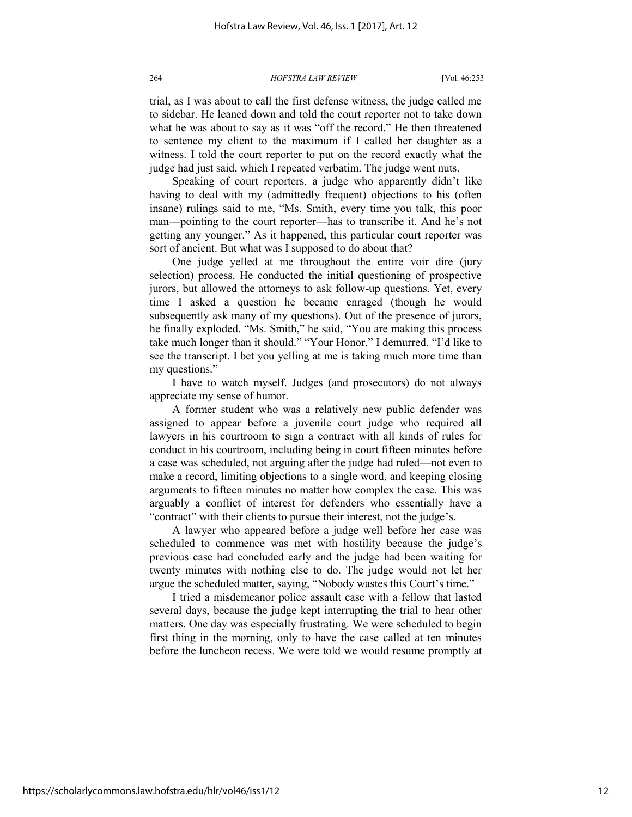trial, as I was about to call the first defense witness, the judge called me to sidebar. He leaned down and told the court reporter not to take down what he was about to say as it was "off the record." He then threatened to sentence my client to the maximum if I called her daughter as a witness. I told the court reporter to put on the record exactly what the judge had just said, which I repeated verbatim. The judge went nuts.

Speaking of court reporters, a judge who apparently didn't like having to deal with my (admittedly frequent) objections to his (often insane) rulings said to me, "Ms. Smith, every time you talk, this poor man—pointing to the court reporter—has to transcribe it. And he's not getting any younger." As it happened, this particular court reporter was sort of ancient. But what was I supposed to do about that?

One judge yelled at me throughout the entire voir dire (jury selection) process. He conducted the initial questioning of prospective jurors, but allowed the attorneys to ask follow-up questions. Yet, every time I asked a question he became enraged (though he would subsequently ask many of my questions). Out of the presence of jurors, he finally exploded. "Ms. Smith," he said, "You are making this process take much longer than it should." "Your Honor," I demurred. "I'd like to see the transcript. I bet you yelling at me is taking much more time than my questions."

I have to watch myself. Judges (and prosecutors) do not always appreciate my sense of humor.

A former student who was a relatively new public defender was assigned to appear before a juvenile court judge who required all lawyers in his courtroom to sign a contract with all kinds of rules for conduct in his courtroom, including being in court fifteen minutes before a case was scheduled, not arguing after the judge had ruled—not even to make a record, limiting objections to a single word, and keeping closing arguments to fifteen minutes no matter how complex the case. This was arguably a conflict of interest for defenders who essentially have a "contract" with their clients to pursue their interest, not the judge's.

A lawyer who appeared before a judge well before her case was scheduled to commence was met with hostility because the judge's previous case had concluded early and the judge had been waiting for twenty minutes with nothing else to do. The judge would not let her argue the scheduled matter, saying, "Nobody wastes this Court's time."

I tried a misdemeanor police assault case with a fellow that lasted several days, because the judge kept interrupting the trial to hear other matters. One day was especially frustrating. We were scheduled to begin first thing in the morning, only to have the case called at ten minutes before the luncheon recess. We were told we would resume promptly at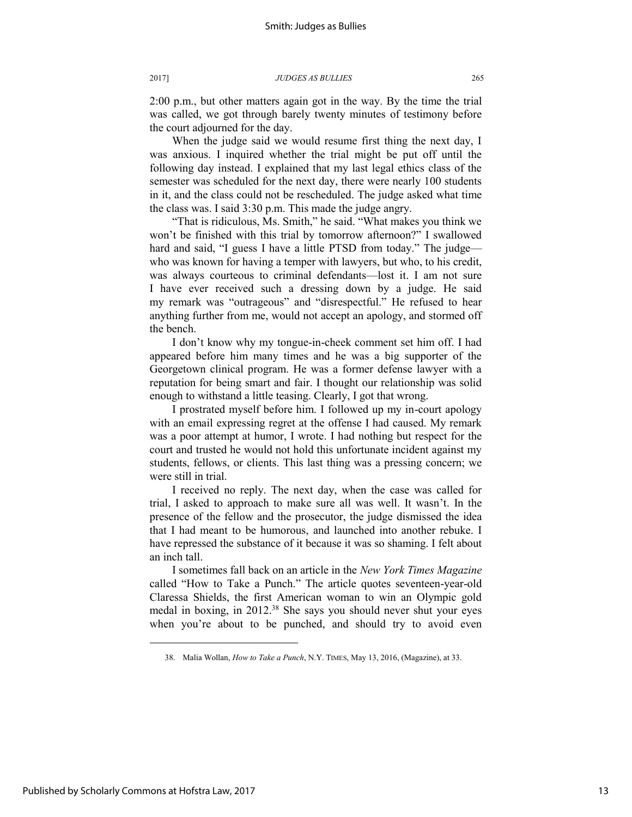2:00 p.m., but other matters again got in the way. By the time the trial was called, we got through barely twenty minutes of testimony before the court adjourned for the day.

When the judge said we would resume first thing the next day, I was anxious. I inquired whether the trial might be put off until the following day instead. I explained that my last legal ethics class of the semester was scheduled for the next day, there were nearly 100 students in it, and the class could not be rescheduled. The judge asked what time the class was. I said 3:30 p.m. This made the judge angry.

"That is ridiculous, Ms. Smith," he said. "What makes you think we won't be finished with this trial by tomorrow afternoon?" I swallowed hard and said, "I guess I have a little PTSD from today." The judge who was known for having a temper with lawyers, but who, to his credit, was always courteous to criminal defendants—lost it. I am not sure I have ever received such a dressing down by a judge. He said my remark was "outrageous" and "disrespectful." He refused to hear anything further from me, would not accept an apology, and stormed off the bench.

I don't know why my tongue-in-cheek comment set him off. I had appeared before him many times and he was a big supporter of the Georgetown clinical program. He was a former defense lawyer with a reputation for being smart and fair. I thought our relationship was solid enough to withstand a little teasing. Clearly, I got that wrong.

I prostrated myself before him. I followed up my in-court apology with an email expressing regret at the offense I had caused. My remark was a poor attempt at humor, I wrote. I had nothing but respect for the court and trusted he would not hold this unfortunate incident against my students, fellows, or clients. This last thing was a pressing concern; we were still in trial.

I received no reply. The next day, when the case was called for trial, I asked to approach to make sure all was well. It wasn't. In the presence of the fellow and the prosecutor, the judge dismissed the idea that I had meant to be humorous, and launched into another rebuke. I have repressed the substance of it because it was so shaming. I felt about an inch tall.

I sometimes fall back on an article in the *New York Times Magazine*  called "How to Take a Punch." The article quotes seventeen-year-old Claressa Shields, the first American woman to win an Olympic gold medal in boxing, in 2012.<sup>38</sup> She says you should never shut your eyes when you're about to be punched, and should try to avoid even

<sup>38.</sup> Malia Wollan, *How to Take a Punch*, N.Y. TIMES, May 13, 2016, (Magazine), at 33.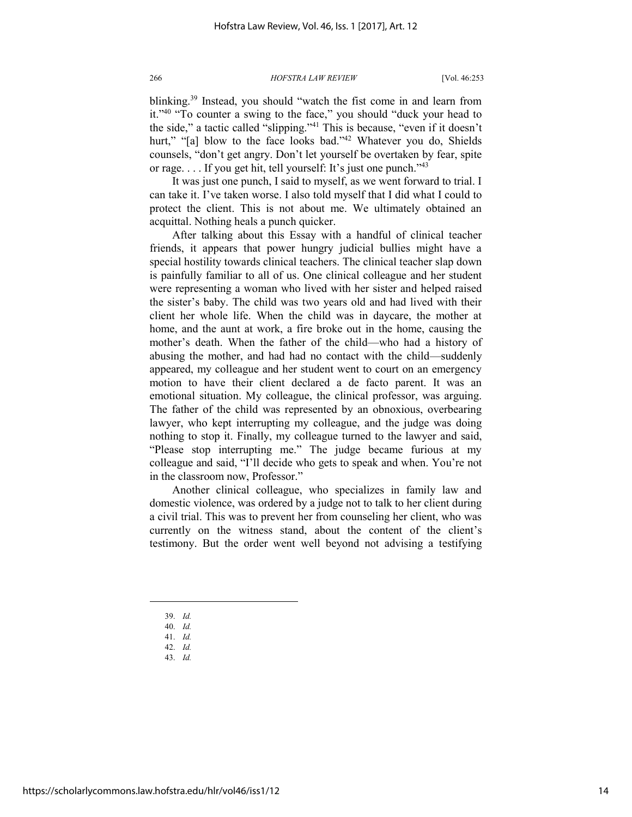blinking.<sup>39</sup> Instead, you should "watch the fist come in and learn from it."<sup>40</sup> "To counter a swing to the face," you should "duck your head to the side," a tactic called "slipping."<sup>41</sup> This is because, "even if it doesn't hurt," "[a] blow to the face looks bad."<sup>42</sup> Whatever you do, Shields counsels, "don't get angry. Don't let yourself be overtaken by fear, spite or rage.... If you get hit, tell yourself: It's just one punch."<sup>43</sup>

It was just one punch, I said to myself, as we went forward to trial. I can take it. I've taken worse. I also told myself that I did what I could to protect the client. This is not about me. We ultimately obtained an acquittal. Nothing heals a punch quicker.

After talking about this Essay with a handful of clinical teacher friends, it appears that power hungry judicial bullies might have a special hostility towards clinical teachers. The clinical teacher slap down is painfully familiar to all of us. One clinical colleague and her student were representing a woman who lived with her sister and helped raised the sister's baby. The child was two years old and had lived with their client her whole life. When the child was in daycare, the mother at home, and the aunt at work, a fire broke out in the home, causing the mother's death. When the father of the child—who had a history of abusing the mother, and had had no contact with the child—suddenly appeared, my colleague and her student went to court on an emergency motion to have their client declared a de facto parent. It was an emotional situation. My colleague, the clinical professor, was arguing. The father of the child was represented by an obnoxious, overbearing lawyer, who kept interrupting my colleague, and the judge was doing nothing to stop it. Finally, my colleague turned to the lawyer and said, "Please stop interrupting me." The judge became furious at my colleague and said, "I'll decide who gets to speak and when. You're not in the classroom now, Professor."

Another clinical colleague, who specializes in family law and domestic violence, was ordered by a judge not to talk to her client during a civil trial. This was to prevent her from counseling her client, who was currently on the witness stand, about the content of the client's testimony. But the order went well beyond not advising a testifying

- 39. *Id.*
- 40. *Id.*

- 41. *Id.*
- 42. *Id.* 43. *Id.*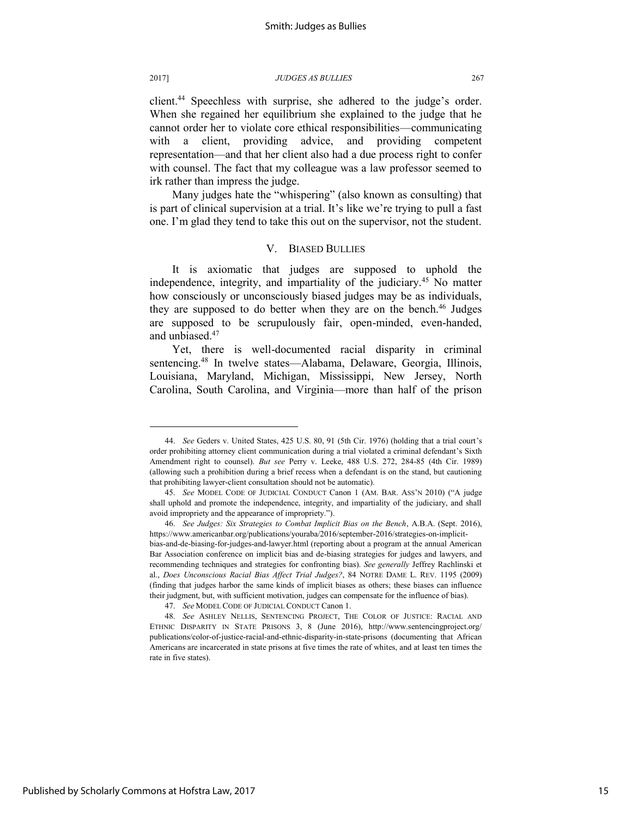l

2017] *JUDGES AS BULLIES* 267

client.<sup>44</sup> Speechless with surprise, she adhered to the judge's order. When she regained her equilibrium she explained to the judge that he cannot order her to violate core ethical responsibilities—communicating with a client, providing advice, and providing competent representation—and that her client also had a due process right to confer with counsel. The fact that my colleague was a law professor seemed to irk rather than impress the judge.

Many judges hate the "whispering" (also known as consulting) that is part of clinical supervision at a trial. It's like we're trying to pull a fast one. I'm glad they tend to take this out on the supervisor, not the student.

## V. BIASED BULLIES

It is axiomatic that judges are supposed to uphold the independence, integrity, and impartiality of the judiciary.<sup>45</sup> No matter how consciously or unconsciously biased judges may be as individuals, they are supposed to do better when they are on the bench.<sup>46</sup> Judges are supposed to be scrupulously fair, open-minded, even-handed, and unbiased.<sup>47</sup>

Yet, there is well-documented racial disparity in criminal sentencing.<sup>48</sup> In twelve states—Alabama, Delaware, Georgia, Illinois, Louisiana, Maryland, Michigan, Mississippi, New Jersey, North Carolina, South Carolina, and Virginia—more than half of the prison

<sup>44.</sup> *See* Geders v. United States, 425 U.S. 80, 91 (5th Cir. 1976) (holding that a trial court's order prohibiting attorney client communication during a trial violated a criminal defendant's Sixth Amendment right to counsel). *But see* Perry v. Leeke, 488 U.S. 272, 284-85 (4th Cir. 1989) (allowing such a prohibition during a brief recess when a defendant is on the stand, but cautioning that prohibiting lawyer-client consultation should not be automatic).

<sup>45.</sup> *See* MODEL CODE OF JUDICIAL CONDUCT Canon 1 (AM. BAR. ASS'N 2010) ("A judge shall uphold and promote the independence, integrity, and impartiality of the judiciary, and shall avoid impropriety and the appearance of impropriety.").

<sup>46.</sup> *See Judges: Six Strategies to Combat Implicit Bias on the Bench*, A.B.A. (Sept. 2016), https://www.americanbar.org/publications/youraba/2016/september-2016/strategies-on-implicitbias-and-de-biasing-for-judges-and-lawyer.html (reporting about a program at the annual American Bar Association conference on implicit bias and de-biasing strategies for judges and lawyers, and recommending techniques and strategies for confronting bias). *See generally* Jeffrey Rachlinski et al., *Does Unconscious Racial Bias Affect Trial Judges?*, 84 NOTRE DAME L. REV. 1195 (2009) (finding that judges harbor the same kinds of implicit biases as others; these biases can influence their judgment, but, with sufficient motivation, judges can compensate for the influence of bias).

<sup>47.</sup> *See* MODEL CODE OF JUDICIAL CONDUCT Canon 1.

<sup>48.</sup> *See* ASHLEY NELLIS, SENTENCING PROJECT, THE COLOR OF JUSTICE: RACIAL AND ETHNIC DISPARITY IN STATE PRISONS 3, 8 (June 2016), http://www.sentencingproject.org/ publications/color-of-justice-racial-and-ethnic-disparity-in-state-prisons (documenting that African Americans are incarcerated in state prisons at five times the rate of whites, and at least ten times the rate in five states).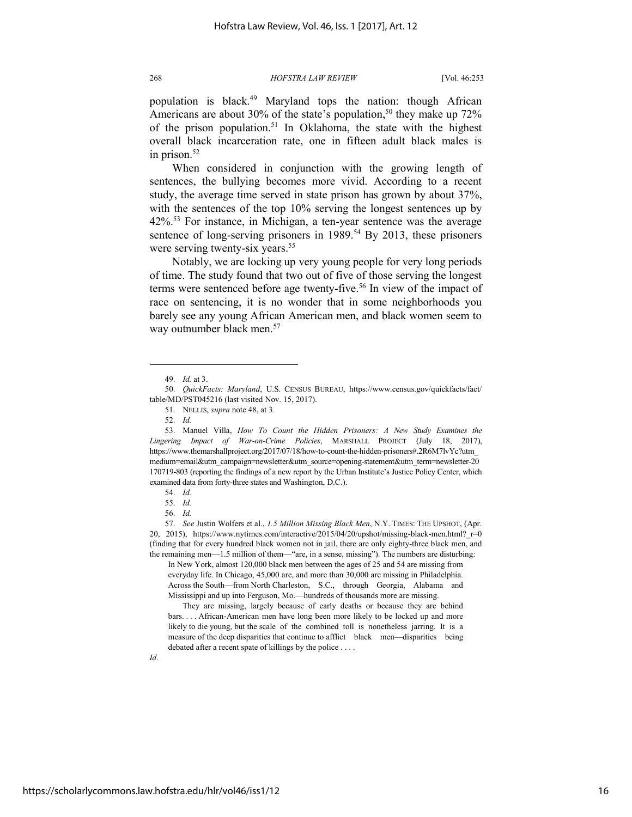population is black.<sup>49</sup> Maryland tops the nation: though African Americans are about 30% of the state's population,<sup>50</sup> they make up  $72\%$ of the prison population.<sup>51</sup> In Oklahoma, the state with the highest overall black incarceration rate, one in fifteen adult black males is in prison.<sup>52</sup>

When considered in conjunction with the growing length of sentences, the bullying becomes more vivid. According to a recent study, the average time served in state prison has grown by about 37%, with the sentences of the top 10% serving the longest sentences up by 42%.<sup>53</sup> For instance, in Michigan, a ten-year sentence was the average sentence of long-serving prisoners in 1989.<sup>54</sup> By 2013, these prisoners were serving twenty-six years.<sup>55</sup>

Notably, we are locking up very young people for very long periods of time. The study found that two out of five of those serving the longest terms were sentenced before age twenty-five.<sup>56</sup> In view of the impact of race on sentencing, it is no wonder that in some neighborhoods you barely see any young African American men, and black women seem to way outnumber black men.<sup>57</sup>

l

53. Manuel Villa, *How To Count the Hidden Prisoners: A New Study Examines the Lingering Impact of War-on-Crime Policies*, MARSHALL PROJECT (July 18, 2017), https://www.themarshallproject.org/2017/07/18/how-to-count-the-hidden-prisoners#.2R6M7lvYc?utm\_ medium=email&utm\_campaign=newsletter&utm\_source=opening-statement&utm\_term=newsletter-20 170719-803 (reporting the findings of a new report by the Urban Institute's Justice Policy Center, which examined data from forty-three states and Washington, D.C.).

In New York, almost 120,000 black men between the ages of 25 and 54 are missing from everyday life. In Chicago, 45,000 are, and more than 30,000 are missing in Philadelphia. Across the South—from North Charleston, S.C., through Georgia, Alabama and Mississippi and up into Ferguson, Mo.—hundreds of thousands more are missing.

 They are missing, largely because of early deaths or because they are behind bars. . . . African-American men have long been more likely to be locked up and more likely to die young, but the scale of the combined toll is nonetheless jarring. It is a measure of the deep disparities that continue to afflict black men—disparities being debated after a recent spate of killings by the police . . . .

<sup>49.</sup> *Id.* at 3.

<sup>50.</sup> *QuickFacts: Maryland*, U.S. CENSUS BUREAU, https://www.census.gov/quickfacts/fact/ table/MD/PST045216 (last visited Nov. 15, 2017).

<sup>51.</sup> NELLIS, *supra* note 48, at 3.

<sup>52.</sup> *Id.*

<sup>54.</sup> *Id.*

<sup>55.</sup> *Id.*

<sup>56.</sup> *Id.*

<sup>57.</sup> *See* Justin Wolfers et al., *1.5 Million Missing Black Men*, N.Y. TIMES: THE UPSHOT, (Apr. 20, 2015), https://www.nytimes.com/interactive/2015/04/20/upshot/missing-black-men.html? r=0 (finding that for every hundred black women not in jail, there are only eighty-three black men, and the remaining men—1.5 million of them—"are, in a sense, missing"). The numbers are disturbing: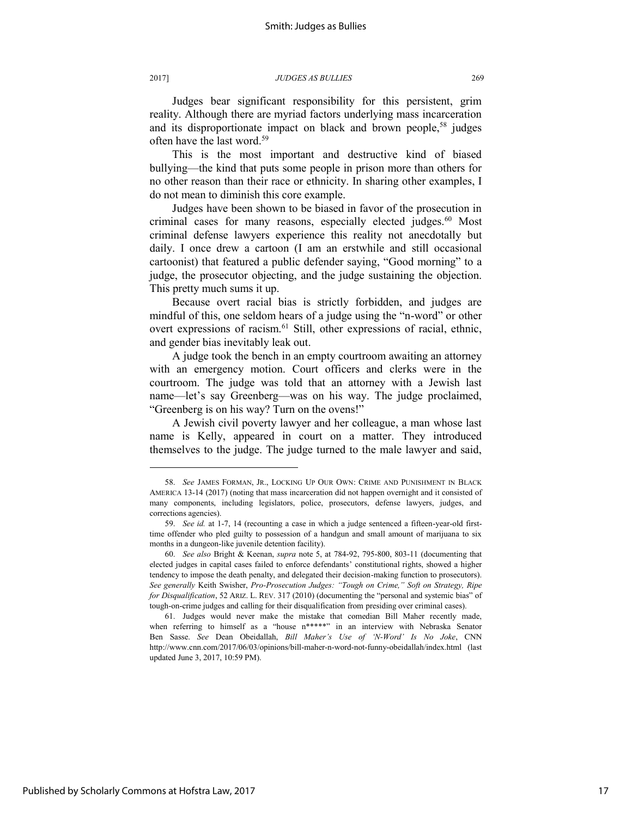Judges bear significant responsibility for this persistent, grim reality. Although there are myriad factors underlying mass incarceration and its disproportionate impact on black and brown people,<sup>58</sup> judges often have the last word.<sup>59</sup>

This is the most important and destructive kind of biased bullying—the kind that puts some people in prison more than others for no other reason than their race or ethnicity. In sharing other examples, I do not mean to diminish this core example.

Judges have been shown to be biased in favor of the prosecution in criminal cases for many reasons, especially elected judges.<sup>60</sup> Most criminal defense lawyers experience this reality not anecdotally but daily. I once drew a cartoon (I am an erstwhile and still occasional cartoonist) that featured a public defender saying, "Good morning" to a judge, the prosecutor objecting, and the judge sustaining the objection. This pretty much sums it up.

Because overt racial bias is strictly forbidden, and judges are mindful of this, one seldom hears of a judge using the "n-word" or other overt expressions of racism.<sup>61</sup> Still, other expressions of racial, ethnic, and gender bias inevitably leak out.

A judge took the bench in an empty courtroom awaiting an attorney with an emergency motion. Court officers and clerks were in the courtroom. The judge was told that an attorney with a Jewish last name—let's say Greenberg—was on his way. The judge proclaimed, "Greenberg is on his way? Turn on the ovens!"

A Jewish civil poverty lawyer and her colleague, a man whose last name is Kelly, appeared in court on a matter. They introduced themselves to the judge. The judge turned to the male lawyer and said,

<sup>58.</sup> *See* JAMES FORMAN, JR., LOCKING UP OUR OWN: CRIME AND PUNISHMENT IN BLACK AMERICA 13-14 (2017) (noting that mass incarceration did not happen overnight and it consisted of many components, including legislators, police, prosecutors, defense lawyers, judges, and corrections agencies).

<sup>59.</sup> *See id.* at 1-7, 14 (recounting a case in which a judge sentenced a fifteen-year-old firsttime offender who pled guilty to possession of a handgun and small amount of marijuana to six months in a dungeon-like juvenile detention facility).

<sup>60.</sup> *See also* Bright & Keenan, *supra* note 5, at 784-92, 795-800, 803-11 (documenting that elected judges in capital cases failed to enforce defendants' constitutional rights, showed a higher tendency to impose the death penalty, and delegated their decision-making function to prosecutors). *See generally* Keith Swisher, *Pro-Prosecution Judges: "Tough on Crime," Soft on Strategy, Ripe for Disqualification*, 52 ARIZ. L. REV. 317 (2010) (documenting the "personal and systemic bias" of tough-on-crime judges and calling for their disqualification from presiding over criminal cases).

<sup>61.</sup> Judges would never make the mistake that comedian Bill Maher recently made, when referring to himself as a "house n\*\*\*\*\*" in an interview with Nebraska Senator Ben Sasse. *See* Dean Obeidallah, *Bill Maher's Use of 'N-Word' Is No Joke*, CNN http://www.cnn.com/2017/06/03/opinions/bill-maher-n-word-not-funny-obeidallah/index.html (last updated June 3, 2017, 10:59 PM).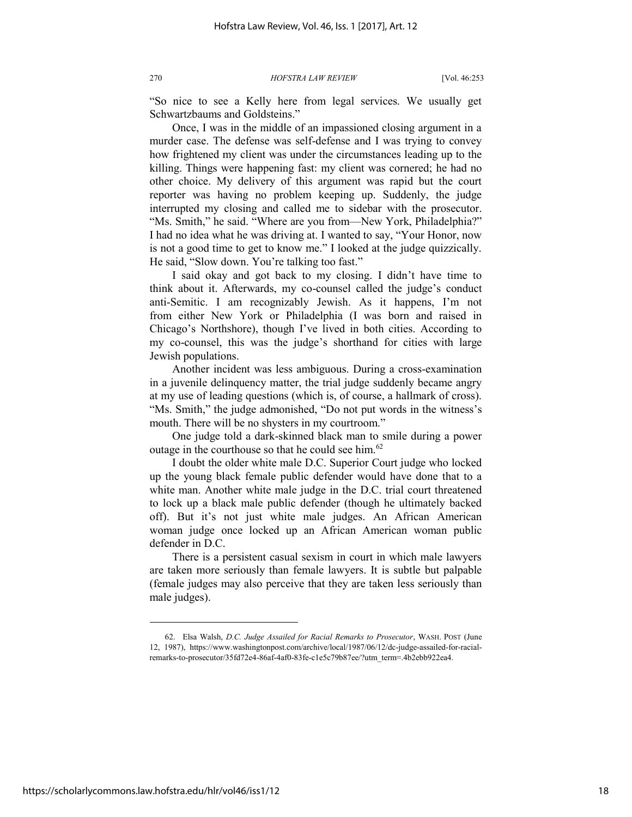"So nice to see a Kelly here from legal services. We usually get Schwartzbaums and Goldsteins."

Once, I was in the middle of an impassioned closing argument in a murder case. The defense was self-defense and I was trying to convey how frightened my client was under the circumstances leading up to the killing. Things were happening fast: my client was cornered; he had no other choice. My delivery of this argument was rapid but the court reporter was having no problem keeping up. Suddenly, the judge interrupted my closing and called me to sidebar with the prosecutor. "Ms. Smith," he said. "Where are you from—New York, Philadelphia?" I had no idea what he was driving at. I wanted to say, "Your Honor, now is not a good time to get to know me." I looked at the judge quizzically. He said, "Slow down. You're talking too fast."

I said okay and got back to my closing. I didn't have time to think about it. Afterwards, my co-counsel called the judge's conduct anti-Semitic. I am recognizably Jewish. As it happens, I'm not from either New York or Philadelphia (I was born and raised in Chicago's Northshore), though I've lived in both cities. According to my co-counsel, this was the judge's shorthand for cities with large Jewish populations.

Another incident was less ambiguous. During a cross-examination in a juvenile delinquency matter, the trial judge suddenly became angry at my use of leading questions (which is, of course, a hallmark of cross). "Ms. Smith," the judge admonished, "Do not put words in the witness's mouth. There will be no shysters in my courtroom."

One judge told a dark-skinned black man to smile during a power outage in the courthouse so that he could see him.<sup>62</sup>

I doubt the older white male D.C. Superior Court judge who locked up the young black female public defender would have done that to a white man. Another white male judge in the D.C. trial court threatened to lock up a black male public defender (though he ultimately backed off). But it's not just white male judges. An African American woman judge once locked up an African American woman public defender in D.C.

There is a persistent casual sexism in court in which male lawyers are taken more seriously than female lawyers. It is subtle but palpable (female judges may also perceive that they are taken less seriously than male judges).

<sup>62.</sup> Elsa Walsh, *D.C. Judge Assailed for Racial Remarks to Prosecutor*, WASH. POST (June 12, 1987), https://www.washingtonpost.com/archive/local/1987/06/12/dc-judge-assailed-for-racialremarks-to-prosecutor/35fd72e4-86af-4af0-83fe-c1e5c79b87ee/?utm\_term=.4b2ebb922ea4.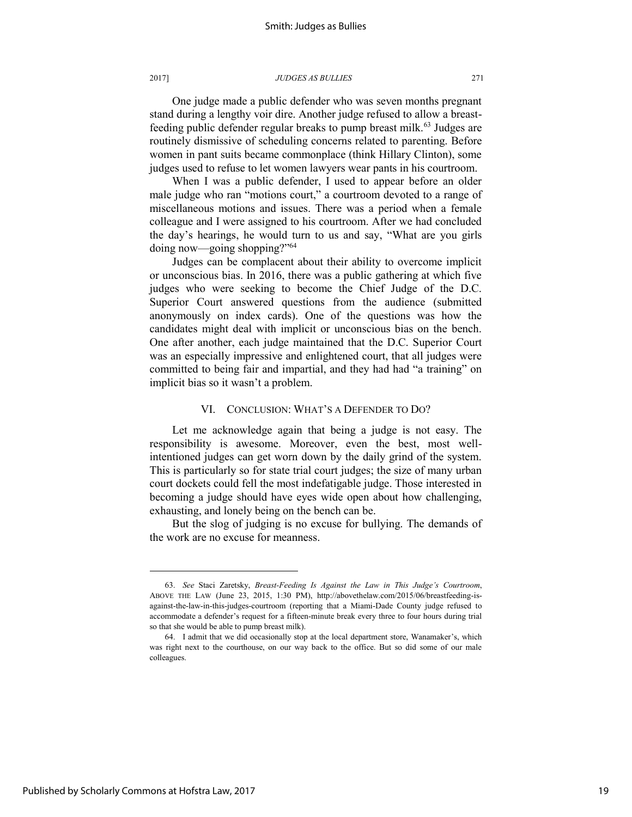One judge made a public defender who was seven months pregnant stand during a lengthy voir dire. Another judge refused to allow a breastfeeding public defender regular breaks to pump breast milk.<sup>63</sup> Judges are routinely dismissive of scheduling concerns related to parenting. Before women in pant suits became commonplace (think Hillary Clinton), some judges used to refuse to let women lawyers wear pants in his courtroom.

When I was a public defender, I used to appear before an older male judge who ran "motions court," a courtroom devoted to a range of miscellaneous motions and issues. There was a period when a female colleague and I were assigned to his courtroom. After we had concluded the day's hearings, he would turn to us and say, "What are you girls doing now—going shopping?"<sup>64</sup>

Judges can be complacent about their ability to overcome implicit or unconscious bias. In 2016, there was a public gathering at which five judges who were seeking to become the Chief Judge of the D.C. Superior Court answered questions from the audience (submitted anonymously on index cards). One of the questions was how the candidates might deal with implicit or unconscious bias on the bench. One after another, each judge maintained that the D.C. Superior Court was an especially impressive and enlightened court, that all judges were committed to being fair and impartial, and they had had "a training" on implicit bias so it wasn't a problem.

## VI. CONCLUSION: WHAT'S A DEFENDER TO DO?

Let me acknowledge again that being a judge is not easy. The responsibility is awesome. Moreover, even the best, most wellintentioned judges can get worn down by the daily grind of the system. This is particularly so for state trial court judges; the size of many urban court dockets could fell the most indefatigable judge. Those interested in becoming a judge should have eyes wide open about how challenging, exhausting, and lonely being on the bench can be.

But the slog of judging is no excuse for bullying. The demands of the work are no excuse for meanness.

l

19

<sup>63.</sup> *See* Staci Zaretsky, *Breast-Feeding Is Against the Law in This Judge's Courtroom*, ABOVE THE LAW (June 23, 2015, 1:30 PM), http://abovethelaw.com/2015/06/breastfeeding-isagainst-the-law-in-this-judges-courtroom (reporting that a Miami-Dade County judge refused to accommodate a defender's request for a fifteen-minute break every three to four hours during trial so that she would be able to pump breast milk).

<sup>64.</sup> I admit that we did occasionally stop at the local department store, Wanamaker's, which was right next to the courthouse, on our way back to the office. But so did some of our male colleagues.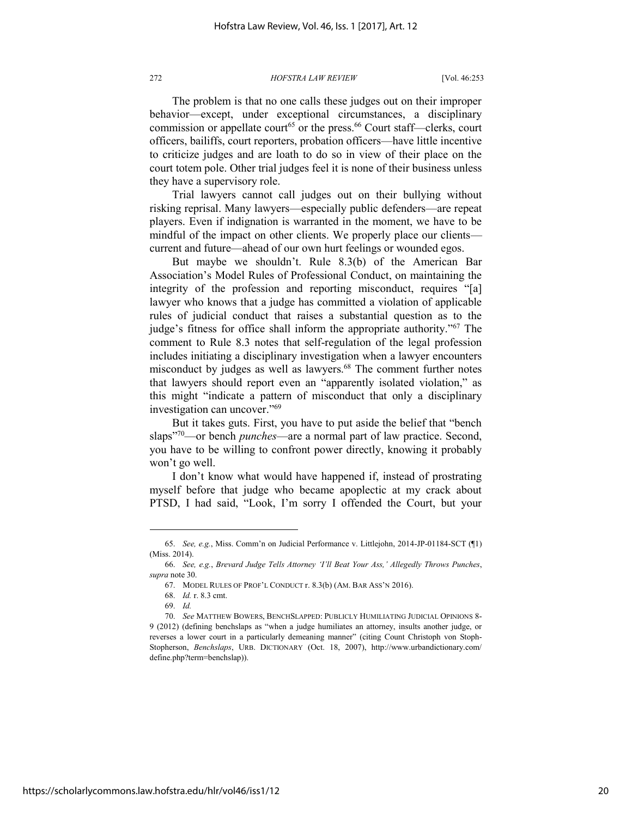The problem is that no one calls these judges out on their improper behavior—except, under exceptional circumstances, a disciplinary commission or appellate court<sup>65</sup> or the press.<sup>66</sup> Court staff—clerks, court officers, bailiffs, court reporters, probation officers—have little incentive to criticize judges and are loath to do so in view of their place on the court totem pole. Other trial judges feel it is none of their business unless they have a supervisory role.

Trial lawyers cannot call judges out on their bullying without risking reprisal. Many lawyers—especially public defenders—are repeat players. Even if indignation is warranted in the moment, we have to be mindful of the impact on other clients. We properly place our clients current and future—ahead of our own hurt feelings or wounded egos.

But maybe we shouldn't. Rule 8.3(b) of the American Bar Association's Model Rules of Professional Conduct, on maintaining the integrity of the profession and reporting misconduct, requires "[a] lawyer who knows that a judge has committed a violation of applicable rules of judicial conduct that raises a substantial question as to the judge's fitness for office shall inform the appropriate authority."<sup>67</sup> The comment to Rule 8.3 notes that self-regulation of the legal profession includes initiating a disciplinary investigation when a lawyer encounters misconduct by judges as well as lawyers.<sup>68</sup> The comment further notes that lawyers should report even an "apparently isolated violation," as this might "indicate a pattern of misconduct that only a disciplinary investigation can uncover."<sup>69</sup>

But it takes guts. First, you have to put aside the belief that "bench slaps"<sup>70</sup>—or bench *punches*—are a normal part of law practice. Second, you have to be willing to confront power directly, knowing it probably won't go well.

I don't know what would have happened if, instead of prostrating myself before that judge who became apoplectic at my crack about PTSD, I had said, "Look, I'm sorry I offended the Court, but your

<sup>65.</sup> *See, e.g.*, Miss. Comm'n on Judicial Performance v. Littlejohn, 2014-JP-01184-SCT (¶1) (Miss. 2014).

<sup>66.</sup> *See, e.g.*, *Brevard Judge Tells Attorney 'I'll Beat Your Ass,' Allegedly Throws Punches*, *supra* note 30.

<sup>67.</sup> MODEL RULES OF PROF'L CONDUCT r. 8.3(b) (AM. BAR ASS'N 2016).

<sup>68.</sup> *Id.* r. 8.3 cmt.

<sup>69.</sup> *Id.*

<sup>70.</sup> *See* MATTHEW BOWERS, BENCHSLAPPED: PUBLICLY HUMILIATING JUDICIAL OPINIONS 8- 9 (2012) (defining benchslaps as "when a judge humiliates an attorney, insults another judge, or reverses a lower court in a particularly demeaning manner" (citing Count Christoph von Stoph-Stopherson, *Benchslaps*, URB. DICTIONARY (Oct. 18, 2007), http://www.urbandictionary.com/ define.php?term=benchslap)).